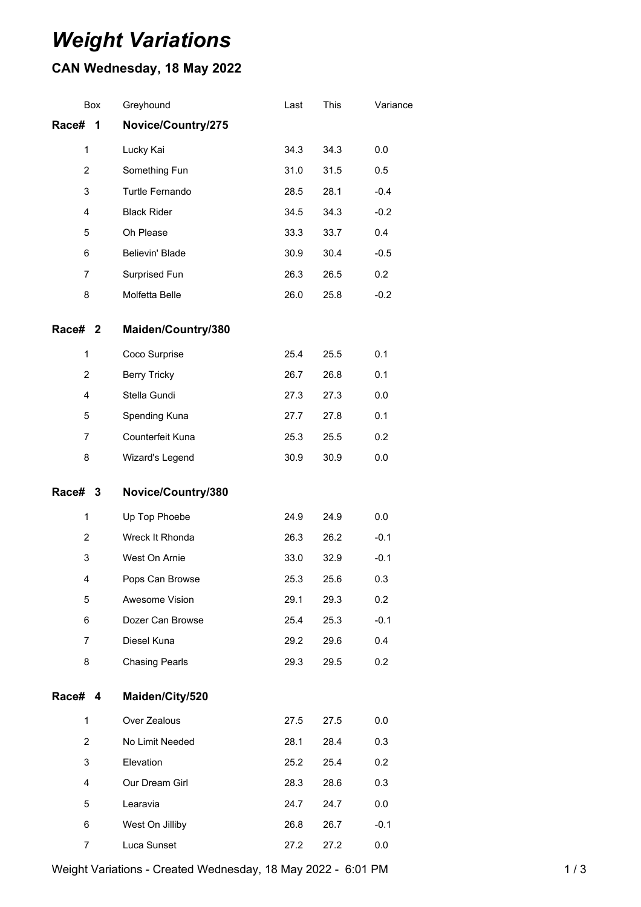## *Weight Variations*

## **CAN Wednesday, 18 May 2022**

| Box            | Greyhound             | Last | This | Variance |
|----------------|-----------------------|------|------|----------|
| Race#<br>1     | Novice/Country/275    |      |      |          |
| 1              | Lucky Kai             | 34.3 | 34.3 | 0.0      |
| $\overline{2}$ | Something Fun         | 31.0 | 31.5 | 0.5      |
| 3              | Turtle Fernando       | 28.5 | 28.1 | $-0.4$   |
| 4              | <b>Black Rider</b>    | 34.5 | 34.3 | $-0.2$   |
| 5              | Oh Please             | 33.3 | 33.7 | 0.4      |
| 6              | Believin' Blade       | 30.9 | 30.4 | $-0.5$   |
| $\overline{7}$ | Surprised Fun         | 26.3 | 26.5 | 0.2      |
| 8              | Molfetta Belle        | 26.0 | 25.8 | $-0.2$   |
| Race# 2        | Maiden/Country/380    |      |      |          |
| 1              | Coco Surprise         | 25.4 | 25.5 | 0.1      |
| $\overline{2}$ | <b>Berry Tricky</b>   | 26.7 | 26.8 | 0.1      |
| 4              | Stella Gundi          | 27.3 | 27.3 | 0.0      |
| 5              | Spending Kuna         | 27.7 | 27.8 | 0.1      |
| 7              | Counterfeit Kuna      | 25.3 | 25.5 | 0.2      |
|                | Wizard's Legend       | 30.9 | 30.9 | 0.0      |
| 8              |                       |      |      |          |
| Race# 3        | Novice/Country/380    |      |      |          |
| 1              | Up Top Phoebe         | 24.9 | 24.9 | 0.0      |
| $\overline{2}$ | Wreck It Rhonda       | 26.3 | 26.2 | $-0.1$   |
| 3              | West On Arnie         | 33.0 | 32.9 | $-0.1$   |
| 4              | Pops Can Browse       | 25.3 | 25.6 | 0.3      |
| 5              | Awesome Vision        | 29.1 | 29.3 | 0.2      |
| 6              | Dozer Can Browse      | 25.4 | 25.3 | $-0.1$   |
| $\overline{7}$ | Diesel Kuna           | 29.2 | 29.6 | 0.4      |
| 8              | <b>Chasing Pearls</b> | 29.3 | 29.5 | 0.2      |
| Race# 4        | Maiden/City/520       |      |      |          |
| $\mathbf{1}$   | Over Zealous          | 27.5 | 27.5 | 0.0      |
| $\overline{2}$ | No Limit Needed       | 28.1 | 28.4 | 0.3      |
| 3              | Elevation             | 25.2 | 25.4 | 0.2      |
| 4              | Our Dream Girl        | 28.3 | 28.6 | 0.3      |
| 5              | Learavia              | 24.7 | 24.7 | 0.0      |
| 6              | West On Jilliby       | 26.8 | 26.7 | $-0.1$   |

Weight Variations - Created Wednesday, 18 May 2022 - 6:01 PM 1 / 3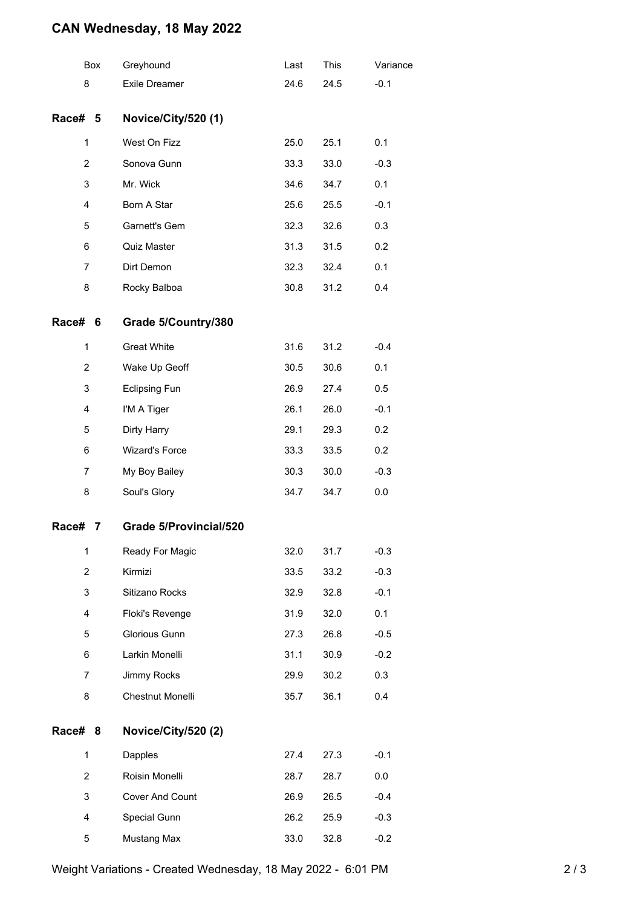## **CAN Wednesday, 18 May 2022**

|                | Box | Greyhound              | Last | This | Variance |
|----------------|-----|------------------------|------|------|----------|
| 8              |     | <b>Exile Dreamer</b>   | 24.6 | 24.5 | $-0.1$   |
| Race# 5        |     | Novice/City/520 (1)    |      |      |          |
| 1              |     | West On Fizz           | 25.0 | 25.1 | 0.1      |
| $\overline{c}$ |     | Sonova Gunn            | 33.3 | 33.0 | $-0.3$   |
| 3              |     | Mr. Wick               | 34.6 | 34.7 | 0.1      |
| 4              |     | Born A Star            | 25.6 | 25.5 | $-0.1$   |
| 5              |     | Garnett's Gem          | 32.3 | 32.6 | 0.3      |
| 6              |     | Quiz Master            | 31.3 | 31.5 | 0.2      |
| $\overline{7}$ |     | Dirt Demon             | 32.3 | 32.4 | 0.1      |
| 8              |     | Rocky Balboa           | 30.8 | 31.2 | 0.4      |
| <b>Race#</b>   | 6   | Grade 5/Country/380    |      |      |          |
| 1              |     | <b>Great White</b>     | 31.6 | 31.2 | $-0.4$   |
| $\overline{2}$ |     | Wake Up Geoff          | 30.5 | 30.6 | 0.1      |
| 3              |     | <b>Eclipsing Fun</b>   | 26.9 | 27.4 | 0.5      |
| 4              |     | I'M A Tiger            | 26.1 | 26.0 | $-0.1$   |
| 5              |     | Dirty Harry            | 29.1 | 29.3 | 0.2      |
| 6              |     | <b>Wizard's Force</b>  | 33.3 | 33.5 | 0.2      |
| 7              |     | My Boy Bailey          | 30.3 | 30.0 | $-0.3$   |
| 8              |     | Soul's Glory           | 34.7 | 34.7 | 0.0      |
| Race#          | 7   | Grade 5/Provincial/520 |      |      |          |
| 1              |     | Ready For Magic        | 32.0 | 31.7 | $-0.3$   |
| $\overline{2}$ |     | Kirmizi                | 33.5 | 33.2 | $-0.3$   |
| 3              |     | Sitizano Rocks         | 32.9 | 32.8 | $-0.1$   |
| 4              |     | Floki's Revenge        | 31.9 | 32.0 | 0.1      |
| 5              |     | Glorious Gunn          | 27.3 | 26.8 | $-0.5$   |
| 6              |     | Larkin Monelli         | 31.1 | 30.9 | $-0.2$   |
| 7              |     | Jimmy Rocks            | 29.9 | 30.2 | 0.3      |
| 8              |     | Chestnut Monelli       | 35.7 | 36.1 | 0.4      |
| Race# 8        |     | Novice/City/520 (2)    |      |      |          |
| $\mathbf{1}$   |     | Dapples                | 27.4 | 27.3 | $-0.1$   |
| $\overline{2}$ |     | Roisin Monelli         | 28.7 | 28.7 | 0.0      |
| 3              |     | Cover And Count        | 26.9 | 26.5 | $-0.4$   |
| 4              |     | Special Gunn           | 26.2 | 25.9 | $-0.3$   |
| 5              |     | Mustang Max            | 33.0 | 32.8 | $-0.2$   |